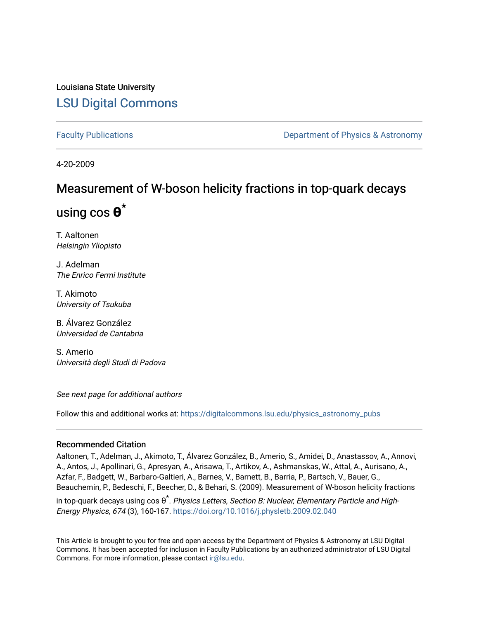### Louisiana State University [LSU Digital Commons](https://digitalcommons.lsu.edu/)

[Faculty Publications](https://digitalcommons.lsu.edu/physics_astronomy_pubs) **Example 2** Constant Department of Physics & Astronomy

4-20-2009

## Measurement of W-boson helicity fractions in top-quark decays

# using cos **θ** \*

T. Aaltonen Helsingin Yliopisto

J. Adelman The Enrico Fermi Institute

T. Akimoto University of Tsukuba

B. Álvarez González Universidad de Cantabria

S. Amerio Università degli Studi di Padova

See next page for additional authors

Follow this and additional works at: [https://digitalcommons.lsu.edu/physics\\_astronomy\\_pubs](https://digitalcommons.lsu.edu/physics_astronomy_pubs?utm_source=digitalcommons.lsu.edu%2Fphysics_astronomy_pubs%2F2462&utm_medium=PDF&utm_campaign=PDFCoverPages) 

### Recommended Citation

Aaltonen, T., Adelman, J., Akimoto, T., Álvarez González, B., Amerio, S., Amidei, D., Anastassov, A., Annovi, A., Antos, J., Apollinari, G., Apresyan, A., Arisawa, T., Artikov, A., Ashmanskas, W., Attal, A., Aurisano, A., Azfar, F., Badgett, W., Barbaro-Galtieri, A., Barnes, V., Barnett, B., Barria, P., Bartsch, V., Bauer, G., Beauchemin, P., Bedeschi, F., Beecher, D., & Behari, S. (2009). Measurement of W-boson helicity fractions

in top-quark decays using cos θ ٌ. *Physics Letters, Section B: Nuclear, Elementary Particle and High-*Energy Physics, 674 (3), 160-167.<https://doi.org/10.1016/j.physletb.2009.02.040>

This Article is brought to you for free and open access by the Department of Physics & Astronomy at LSU Digital Commons. It has been accepted for inclusion in Faculty Publications by an authorized administrator of LSU Digital Commons. For more information, please contact [ir@lsu.edu](mailto:ir@lsu.edu).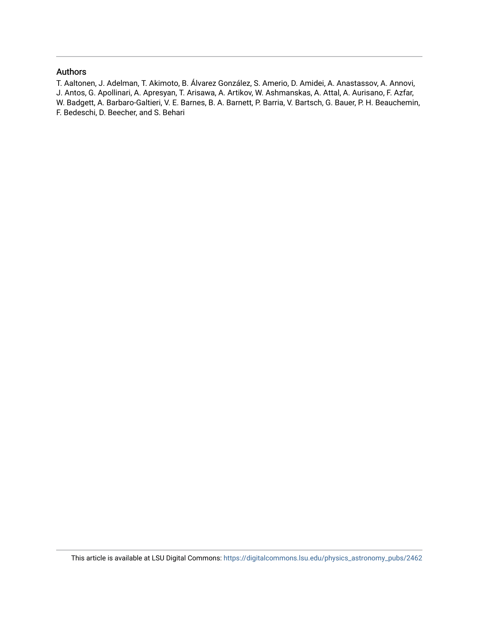### Authors

T. Aaltonen, J. Adelman, T. Akimoto, B. Álvarez González, S. Amerio, D. Amidei, A. Anastassov, A. Annovi, J. Antos, G. Apollinari, A. Apresyan, T. Arisawa, A. Artikov, W. Ashmanskas, A. Attal, A. Aurisano, F. Azfar, W. Badgett, A. Barbaro-Galtieri, V. E. Barnes, B. A. Barnett, P. Barria, V. Bartsch, G. Bauer, P. H. Beauchemin, F. Bedeschi, D. Beecher, and S. Behari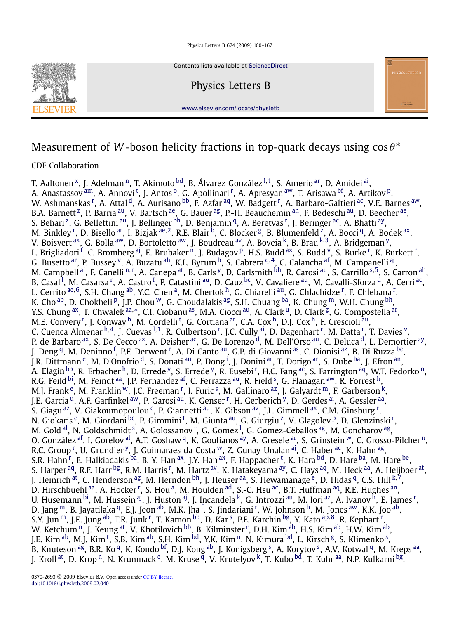

Contents lists available at [ScienceDirect](http://www.ScienceDirect.com/)

Physics Letters B



[www.elsevier.com/locate/physletb](http://www.elsevier.com/locate/physletb)

### Measurement of *W*-boson helicity fractions in top-quark decays using  $\cos \theta^*$

### CDF Collaboration

T. Aa[l](#page-3-0)tonen<sup>x</sup>, J. Adelman<sup>n</sup>, T. Akimoto <sup>bd</sup>, B. Álvarez González <sup>[1,](#page-4-0)1</sup>, S. Amerio <sup>ar</sup>, D. Amidei <sup>ai</sup>, A. Anas[t](#page-4-0)assov <sup>am</sup>, A. Annovi <sup>t</sup>, J. Antos <sup>o</sup>, G. Apollina[r](#page-4-0)i <sup>r</sup>, A. Apresyan <sup>aw</sup>, T. Arisawa <sup>bf</sup>, A. Artikov <sup>p</sup>, W. Ashmanskas <sup>[r](#page-4-0)</sup>, A. Attal <sup>d</sup>, A. Aurisano <sup>bb</sup>, F. Azfar <sup>aq</sup>, W. Badgett <sup>r</sup>, A. Barbaro-Galtieri <sup>ac</sup>, V.E. Barnes <sup>[aw](#page-4-0)</sup>, B.A. Barnett <sup>z</sup>, P. Barria <sup>au</sup>, V. Bartsch <sup>ae</sup>, G. Bauer <sup>ag</sup>, P.-H. Beauchemin <sup>ah</sup>, F. Bedeschi <sup>au</sup>, D. Beecher <sup>ae</sup>, S. Beha[r](#page-4-0)i <sup>z</sup>, G. Bellettini <sup>au</sup>, J. Bellinger <sup>bh</sup>, D. Benjamin <sup>q</sup>, A. Beretvas <sup>r</sup>, J. Beringer <sup>ac</sup>, A. Bhatti <sup>[ay](#page-4-0)</sup>, M. Binkley <sup>[r](#page-4-0)</sup>, D. Bisello <sup>ar</sup>, I. Bizjak <sup>[ae](#page-4-0), 2</sup>, R.E. Blair <sup>b</sup>, C. Blocker <sup>g</sup>, B. Blumenfeld <sup>z</sup>, A. Bocci <sup>q</sup>, A. Bodek <sup>ax</sup>, V. Boisvert [ax,](#page-4-0) G. Bolla [aw,](#page-4-0) D. Bortoletto [aw,](#page-4-0) J. Boudreau [av,](#page-4-0) A. Boveia [k,](#page-3-0) B. Brau [k](#page-3-0)*,*[3,](#page-5-0) A. Bridgeman [y,](#page-4-0) L. Brigliadori <sup>[f](#page-3-0)</sup>, C. Bromberg <sup>[aj](#page-4-0)</sup>, E. B[r](#page-4-0)ubaker <sup>n</sup>, J. Budagov <sup>p</sup>, H.S. Budd <sup>ax</sup>, S. Budd <sup>y</sup>, S. Burke <sup>r</sup>, K. Burkett <sup>r</sup>, G. Busetto [ar,](#page-4-0) P. Bussey [v,](#page-4-0) A. Buzatu [ah,](#page-4-0) K.L. Byrum [b,](#page-3-0) S. Cabrera [q](#page-4-0)*,*[4,](#page-5-0) C. Calancha [af,](#page-4-0) M. Campanelli [aj,](#page-4-0) M. Campbell <sup>ai</sup>, F. Ca[n](#page-3-0)elli <sup>n,[r](#page-4-0)</[s](#page-4-0)up>, A. Canepa <sup>at</sup>, B. Carls <sup>y</sup>, D. Carlsmith <sup>bh</sup>, R. Carosi <sup>au</sup>, S. Carrillo <sup>s,5</sup>, S. Carron <sup>ah</sup>, B. Casa[l](#page-3-0) <sup>l</sup>, M. Casa[r](#page-4-0)sa <sup>r</sup>, A. Castro <sup>[f](#page-3-0)</sup>, P. Catastini <sup>au</sup>, D. Cauz <sup>bc</sup>, V. Cavaliere <sup>au</sup>, M. Cavalli-Sforza <sup>d</sup>, A. Cerri <sup>ac</sup>, L. Cerrito <sup>[ae](#page-4-0),6</sup>, S.H. Chang <sup>ab</sup>, Y.C. Chen <sup>a</sup>, M. Che[r](#page-4-0)tok <sup>h</sup>, G. Chiarelli <sup>au</sup>, G. Chlachidze <sup>r</sup>, F. Chlebana <sup>r</sup>, K. Cho [ab,](#page-4-0) D. Chokheli <sup>p</sup>, J.P. Chou <sup>w</sup>, G. Choudalakis <sup>ag</sup>, S.H. Chuang <sup>ba</sup>, K. Chung <sup>m</sup>, W.H. Chung <sup>bh</sup>, Y.S. Chung <sup>ax</sup>, T. Chwalek <sup>[aa](#page-4-0),[∗](#page-4-0)</sup>, C.I. Ciobanu <sup>as</sup>, M.A. Ciocci <sup>au</sup>, A. Clark <sup>u</sup>, D. Clark <sup>g</sup>, G. Compostella <sup>ar</sup>, M.E. Conve[r](#page-4-0)y <sup>r</sup>, J. Conway <sup>h</sup>, M. Cordelli <sup>[t](#page-4-0)</sup>, G. Cortiana <sup>ar</sup>, C.A. Cox <sup>h</sup>, D.J. Cox <sup>h</sup>, F. Crescioli <sup>au</sup>, C. Cuenca Almenar <sup>[h](#page-3-0),4</sup>, J. Cuevas <sup>[l](#page-3-0), 1</sup>, R. Culbe[r](#page-4-0)tson <sup>r</sup>, J.C. Cully <sup>ai</sup>, D. Dagenhart <sup>r</sup>, M. Datta <sup>r</sup>, T. Davies <sup>v</sup>, P. de Barbaro <sup>ax</sup>, S. De Cecco <sup>az</sup>, A. Deisher <sup>ac</sup>, G. De Lorenzo <sup>d</sup>, M. Dell'Orso <sup>au</sup>, C. Deluca <sup>d</sup>, L. Demortier <sup>ay</sup>, J. Deng<sup>q</sup>, M. Deninno<sup>[f](#page-3-0)</sup>, P.F. De[r](#page-4-0)went<sup>r</sup>, A. Di Canto<sup>au</sup>, G.P. di Giovanni<sup>as</sup>, C. Dionisi<sup>az</sup>, B. Di Ruzza<sup>bc</sup>, J.R. D[i](#page-3-0)ttmann <sup>e</sup>, M. D'Onofrio <sup>d</sup>, S. Donati <sup>au</sup>, P. Dong <sup>i</sup>, J. Donini <sup>ar</sup>, T. Dorigo <sup>ar</sup>, S. Dube <sup>ba</sup>, J. Efron <sup>an</sup>, A. Elagin <sup>bb</sup>, R. E[r](#page-4-0)bacher <sup>h</sup>, D. Errede <sup>y</sup>, S. Errede <sup>y</sup>, R. Eusebi <sup>r</sup>, H.C. Fang <sup>ac</sup>, S. Farrington <sup>aq</sup>, W.T. Fedorko <sup>n</sup>, R.G. Feild <[s](#page-4-0)up>bi</sup>, M. Feindt <sup>aa</sup>, J.P. Fernandez <sup>af</sup>, C. Ferrazza <sup>au</sup>, R. Field <sup>s</sup>, G. Flanagan <sup>aw</sup>, R. Forrest <sup>h</sup>, M.J. F[r](#page-4-0)ank  $\rm^e$ , M. Franklin  $\rm^w$ , J.C. Freeman  $\rm^r$ , I. Furic  $\rm^s$  $\rm^s$ , M. Gallinaro  $\rm^{az}$ , J. Galyardt  $\rm^m$ , F. Garberson  $\rm^k$ , J.E. Ga[r](#page-4-0)cia <sup>u</sup>, A.F. Garfinkel <sup>aw</sup>, P. Garosi <sup>au</sup>, K. Genser <sup>r</sup>, H. Gerberich <sup>y</sup>, D. Gerdes <sup>[ai](#page-4-0)</sup>, A. Gessler <sup>aa</sup>, S. Giagu <sup>az</sup>, V. Giakoumopoulou <sup>c</sup>, P. Giannetti <sup>au</sup>, K. Gibson <sup>av</sup>, J.L. Gimmell <sup>ax</sup>, C.M. Ginsbu[r](#page-4-0)g <sup>r</sup>, N. Giokaris <sup>c</sup>, M. Giordani <sup>bc</sup>, P. Giromini <sup>[t](#page-4-0)</sup>, M. Giunta <sup>au</sup>, G. Giu[r](#page-4-0)giu <sup>z</sup>, V. Glagolev <sup>p</sup>, D. Glenzinski <sup>r</sup>, M. Gold <[s](#page-4-0)up>al</sup>, N. Goldschmidt <sup>s</sup>, A. Golossanov <sup>[r](#page-4-0)</sup>, G. Gomez <sup>[l](#page-3-0)</sup>, G. Gomez-Ceballos <sup>ag</sup>, M. Goncharov <sup>ag</sup>, O. González <sup>af</sup>, I. Gorelov <sup>al</sup>, A.T. Goshaw <sup>q</sup>, K. Goulianos <sup>ay</sup>, A. Gresele <sup>ar</sup>, S. Grinstein <sup>w</sup>, C. Grosso-Pilcher <sup>n</sup>, R.C. G[r](#page-4-0)oup <sup>r</sup>, U. Grundler <sup>y</sup>, J. Guimaraes da Costa <sup>w</sup>, Z. Gunay-Unalan <sup>aj</sup>, C. Haber <sup>ac</sup>, K. Hahn <sup>ag</sup>, S.R. Hahn <sup>[r](#page-4-0)</sup>, E. Halkiadakis <sup>ba</sup>, B.-Y. Han <sup>ax</sup>, J.Y. Han <sup>ax</sup>, F. Happacher <sup>[t](#page-4-0)</sup>, K. Hara <sup>bd</sup>, D. Hare <sup>ba</sup>, M. Hare <sup>be</sup>, S. Ha[r](#page-4-0)per <sup>aq</sup>, R.F. Harr <sup>bg</sup>, R.M. Harris <sup>r</sup>, M. Hartz <sup>av</sup>, K. Hatakeyama <sup>ay</sup>, C. Hays <sup>aq</sup>, M. Heck <sup>aa</sup>, A. Heijboer <sup>at</sup>, J. Heinrich <sup>at</sup>, C. Henderson <sup>ag</sup>, M. Herndon <sup>bh</sup>, J. Heuser <sup>aa</sup>, S. Hewamanage <sup>e</sup>, D. Hidas <sup>q</sup>, C.S. Hill <sup>[k](#page-3-0),7</sup>, D. Hi[r](#page-4-0)schbuehl <sup>aa</sup>, A. Hocker <sup>r</sup>, S. Hou <sup>a</sup>, M. Houlden <sup>ad</sup>, S.-C. Hsu <sup>ac</sup>, B.T. Huffman <sup>aq</sup>, R.E. Hughes <sup>an</sup>, U. Husemann <sup>bi</sup>, M. Hussein <sup>aj</sup>, J. Huston <sup>aj</sup>, J. Incandela <sup>k</sup>, G. Int[r](#page-4-0)ozzi <sup>au</sup>, M. Iori <sup>az</sup>, A. Ivanov <sup>h</sup>, E. James <sup>r</sup>, D. Jang <sup>m</sup>, B. Jayatilaka <sup>q</sup>, E.J. Jeon <sup>ab</sup>, M.K. Jha <sup>[f](#page-3-0)</sup>, S. Jinda[r](#page-4-0)iani <sup>r</sup>, W. Johnson <sup>h</sup>, M. Jones <sup>[aw](#page-4-0)</sup>, K.K. Joo <sup>ab</sup>, S.Y. Jun <sup>m</sup>, J.E. Jung <sup>ab</sup>, T.R. Junk <sup>[r](#page-4-0)</sup>, T. Kamon <sup>[bb](#page-4-0)</[s](#page-4-0)up>, D. Kar <sup>s</sup>, P.E. Karchin <sup>bg</sup>, Y. Kato <sup>[ap](#page-4-0),8</sup>, R. Kephart <sup>r</sup>, W. Ketchum <sup>n</sup>, J. Keung <sup>at</sup>, V. Khotilovich <sup>bb</sup>, B. Kilminste[r](#page-4-0) <sup>r</sup>, D.H. Kim <sup>ab</sup>, H.S. Kim <sup>ab</sup>, H.W. Kim <sup>ab</sup>, J.E. Kim <sup>ab</sup>, M.J. Kim <sup>[t](#page-4-0)</[s](#page-4-0)up>, S.B. Kim <sup>ab</sup>, S.H. Kim <sup>bd</sup>, Y.K. Kim <sup>n</sup>, N. Kimura <sup>bd</sup>, L. Kirsch <sup>g</sup>, S. Klimenko <sup>s</sup>, B. Knute[s](#page-4-0)on <sup>ag</sup>, B.R. Ko <sup>q</sup>, K. Kondo <sup>bf</sup>, D.J. Kong <sup>ab</sup>, J. Konigsberg <sup>s</sup>, A. Korytov <sup>s</sup>, A.V. Kotwal <sup>q</sup>, M. Kreps <sup>aa</sup>, J. Kroll [at,](#page-4-0) D. Krop <sup>n</sup>, N. Krumnack <sup>e</sup>, M. Kruse <sup>q</sup>, V. Krutelyov [k,](#page-3-0) T. Kubo <sup>bd</sup>, T. Kuhr <sup>aa</sup>, N.P. Kulkarni <sup>bg</sup>,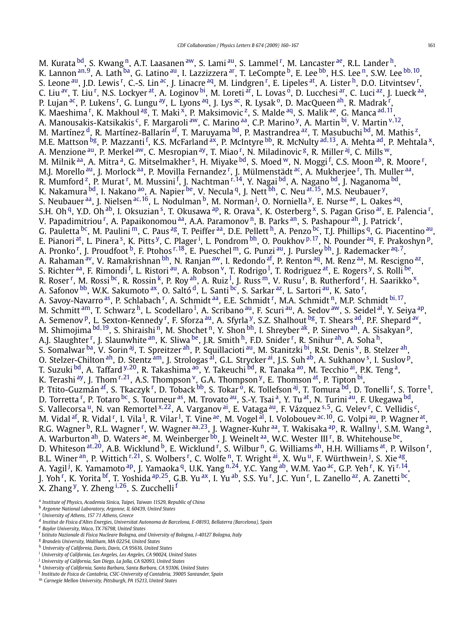<span id="page-3-0"></span>M. Kurata <sup>bd</sup>, S. Kwang <sup>n</sup>, A.T. Laasanen <sup>[aw](#page-4-0)</sup>, S. Lami <sup>au</sup>, S. Lammel <sup>[r](#page-4-0)</sup>, M. Lancaster <sup>ae</sup>, R.L. Lander <sup>h</sup>, K. L[an](#page-4-0)non <sup>an,9</sup>, A. Lath <sup>ba</sup>, G. Latino <sup>au</sup>, I. Lazzizzera <sup>ar</sup>, T. LeCompte <sup>b</sup>, E. Lee <sup>bb</sup>, H.S. Lee <sup>n</sup>, S.W. Lee <sup>[bb,](#page-4-0) [10](#page-5-0)</sup>, S. Leone <sup>au</sup>, J.D. Lewis <sup>[r](#page-4-0)</sup>, C.-S. Lin <sup>ac</sup>, J. Linacre <sup>aq</sup>, M. Lindgren <sup>r</sup>, E. Lipeles <sup>at</sup>, A. Lister <sup>h</sup>, D.O. Litvintsev <sup>r</sup>, C. Liu <sup>av</sup>, T. Liu <sup>[r](#page-4-0)</sup>, N.S. Lockyer <sup>at</sup>, A. Loginov <sup>bi</sup>, M. Loreti <sup>ar</sup>, L. Lovas <sup>o</sup>, D. Lucchesi <sup>ar</sup>, C. Luci <sup>az</sup>, J. Lueck <sup>aa</sup>, P. Lujan <sup>ac</sup>, P. Lukens <sup>[r](#page-4-0)</sup>, G. Lungu <sup>ay</sup>, L. Lyons <sup>aq</sup>, J. Lys <sup>ac</sup>, R. Lysak <sup>o</sup>, D. MacQueen <sup>ah</sup>, R. Madrak <sup>r</sup>, K. Maeshima <sup>[r](#page-4-0)</sup>, K. Makhoul <sup>ag</sup>, T. Maki <sup>x</sup>, P. Maksimovic <sup>z</sup>, S. Malde <sup>aq</sup>, S. Malik <sup>ae</sup>, G. Manca <sup>[ad](#page-4-0), [11](#page-5-0)</sup>, A. Manousakis-Katsikakis <sup>c</sup>, F. Margaroli <sup>aw</sup>, C. Marino <sup>aa</sup>, C.P. Marino <sup>y</sup>, A. Martin <sup>bi</sup>, V. Martin <sup>[v](#page-4-0), 12</sup>, M. Martínez <sup>d</sup>, R. Martínez-Ballarín <sup>af</sup>, T. Maruyama <sup>bd</sup>, P. Mastrandrea <sup>az</sup>, T. Masubuchi <sup>bd</sup>, M. Mathis <sup>z</sup>, M.E. Mattson <sup>bg</sup>, P. Mazzanti <sup>f</sup>, K.S. McFarland <sup>ax</sup>, P. McIntyre <sup>bb</sup>, R. McNulty <sup>[ad](#page-4-0), [13](#page-5-0)</sup>, A. Mehta <sup>ad</sup>, P. Mehtala <sup>x</sup>, A. Menzione <sup>au</sup>, P. Merkel <sup>[aw](#page-4-0)</sup>, C. Mes[r](#page-4-0)opian <sup>ay</sup>, T. Miao <sup>r</sup>, N. Miladinovic <sup>g</sup>, R. Miller <sup>aj</sup>, C. Mills <sup>w</sup>, M. Milnik <[s](#page-4-0)up>aa</sup>, A. Mit[r](#page-4-0)a <sup>a</sup>, G. Mitselmakher <sup>s</sup>, H. Miyake <sup>bd</sup>, S. Moed <sup>w</sup>, N. Moggi <sup>f</sup>, C.S. Moon <sup>ab</sup>, R. Moore <sup>r</sup>, M.J. Mo[r](#page-4-0)ello <sup>au</sup>, J. Morlock <sup>aa</sup>, P. Movilla Fernandez <sup>r</sup>, J. Mülmenstädt <sup>ac</sup>, A. Mukherjee <sup>r</sup>, Th. Muller <sup>aa</sup>, R. Mumfo[r](#page-4-0)d <sup>z</sup>, P. Murat <sup>r</sup>, M. Mussini <sup>f</sup>, J. Nachtman <sup>r, [14](#page-5-0)</sup>, Y. Nagai <sup>bd</sup>, A. Nagano <sup>bd</sup>, J. Naganoma <sup>bd</sup>, K. Nakamura [bd,](#page-4-0) I. Nakano [ao,](#page-4-0) A. Napier [be,](#page-4-0) V. Necula [q,](#page-4-0) J. Nett [bh,](#page-4-0) C. Neu [at](#page-4-0)*,*[15,](#page-5-0) M.S. Neubauer [y,](#page-4-0) S. Neubauer <sup>aa</sup>, J. Nielsen <sup>[ac](#page-4-0), [16](#page-5-0)</sup>, L. Nodulman <sup>b</sup>, M. Norman <sup>j</sup>, O. Norniella <sup>y</sup>, E. Nurse <sup>ae</sup>, L. Oakes <sup>aq</sup>, S.H. Oh <[s](#page-4-0)up>q</sup>, Y.D. Oh <sup>ab</sup>, I. Oksuzian <sup>s</sup>, T. Okusawa <sup>ap</sup>, R. O[r](#page-4-0)ava <sup>x</sup>, K. Osterberg <sup>x</sup>, S. Pagan Griso <sup>ar</sup>, E. Palencia <sup>r</sup>, V. Papadimit[r](#page-4-0)iou <sup>r</sup>, A. Papaikonomou <sup>aa</sup>, A.A. Paramonov <sup>n</sup>, B. Parks <sup>an</sup>, S. Pashapour <sup>ah</sup>, J. Patrick <sup>r</sup>, G. Pauletta <sup>bc</sup>, M. Paulini <sup>m</sup>, C. Paus <sup>ag</sup>, T. Peiffer <sup>aa</sup>, D.E. Pellett <sup>h</sup>, A. Penzo <sup>bc</sup>, T.J. Phillips <sup>q</sup>, G. Piacentino <sup>au</sup>, E. Pianori <[s](#page-4-0)u[p](#page-4-0)>at</sup>, L. Pinera <sup>s</sup>, K. Pitts <sup>y</sup>, C. Plager <sup>i</sup>, L. Pondrom <sup>bh</sup>, O. Poukhov <sup>p, [17](#page-5-0)</sup>, N. Pounder <sup>aq</sup>, F. Prakoshyn <sup>p</sup>, A. P[r](#page-4-0)onko <sup>r</sup>, J. Proudfoot <sup>b</sup>, F. Ptohos <sup>r, [18](#page-5-0)</sup>, E. Pueschel <sup>m</sup>, G. Punzi <sup>au</sup>, J. Pursley <sup>bh</sup>, J. Rademacker <sup>[aq](#page-4-0), 7</sup>, A. Rahaman <sup>av</sup>, V. Ramakrishnan <sup>bh</sup>, N. Ranjan <sup>aw</sup>, I. Redondo <sup>af</sup>, P. Renton <sup>aq</sup>, M. Renz <sup>aa</sup>, M. Rescigno <sup>az</sup>, S. Richter <sup>aa</sup>, F. Rimondi <sup>f</sup>, L. Ristori <sup>au</sup>, A. Robson <sup>v</sup>, T. Rodrigo <sup>l</sup>, T. Rodriguez <sup>at</sup>, E. Rogers <sup>y</sup>, S. Rolli <sup>be</sup>, R. Rose[r](#page-4-0) <sup>r</sup>, M. Rossi <sup>bc</sup>, R. Rossin <sup>k</sup>, P. Roy <sup>ah</sup>, A. Ruiz <sup>l</sup>, J. Russ <sup>m</sup>, V. Rusu <sup>r</sup>, B. Rutherford <sup>r</sup>, H. Saarikko <sup>x</sup>, A. Safonov <sup>bb</sup>, W.K. Sakumoto <sup>ax</sup>, O. Saltó <sup>d</sup>, L. Santi <sup>bc</sup>, S. Sa[r](#page-4-0)kar <sup>az</sup>, L. Sartori <sup>au</sup>, K. Sato <sup>r</sup>, A. Savoy-Nava[r](#page-4-0)ro <sup>as</sup>, P. Schlabach <sup>r</sup>, A. Schmidt <sup>aa</sup>, E.E. Schmidt <sup>r</sup>, M.A. Schmidt <sup>n</sup>, M.P. Schmidt <sup>[bi](#page-4-0), [17](#page-5-0)</sup>, M. Schmitt <sup>am</sup>, T. Schwarz <sup>h</sup>, L. Scodellaro <sup>l</sup>, A. Scribano <sup>au</sup>, F. Scuri <sup>au</sup>, A. Sedov <sup>[aw](#page-4-0)</sup>, S. Seidel <sup>al</sup>, Y. Seiya <sup>ap</sup>, A. Semenov <sup>p</sup>, L. Sexton-Kennedy <sup>[r](#page-4-0)</sup>, F. Sforza <sup>au</sup>, A. Sfyrla <sup>y</sup>, S.Z. Shalhout <sup>bg</sup>, T. Shears <sup>ad</sup>, P.F. Shepard <sup>av</sup>, M. Shimojima <sup>[bd](#page-4-0), 19</sup>, S. Shiraishi <sup>n</sup>, M. Shochet <sup>n</sup>, Y. Shon <sup>bh</sup>, I. Shreyber <sup>ak</sup>, P. Sinervo <sup>ah</sup>, A. Sisakyan <sup>p</sup>, A.J. Slaughte[r](#page-4-0) <sup>r</sup>, J. Slaunwhite <sup>an</sup>, K. Sliwa <sup>be</sup>, J.R. Smith <sup>h</sup>, F.D. Snider <sup>r</sup>, R. Snihur <sup>ah</sup>, A. Soha <sup>h</sup>, S. Somalwar [ba,](#page-4-0) V. Sorin [aj,](#page-4-0) T. Spreitzer [ah,](#page-4-0) P. Squillacioti [au,](#page-4-0) M. Stanitzki [bi,](#page-4-0) R.St. Denis <sup>v</sup>, B. Stelzer ah, O. Stelzer-Chilton <[s](#page-4-0)up>ah</sup>, D. Stentz <sup>am</sup>, J. Strologas <sup>al</sup>, G.L. Strycker <sup>ai</sup>, J.S. Suh <sup>ab</sup>, A. Sukhanov <sup>s</sup>, I. Suslov <sup>p</sup>, T. Suzuki <sup>bd</sup>, A. Taffard <sup>[y](#page-4-0),20</sup>, R. Takashima <sup>ao</sup>, Y. Takeuchi <sup>bd</sup>, R. Tanaka <sup>ao</sup>, M. Tecchio <sup>ai</sup>, P.K. Teng <sup>a</sup>, K. Terashi <sup>[ay](#page-4-0)</sup>, J. Thom <sup>[r](#page-4-0),21</sup>, A.S. Thompson <sup>v</sup>, G.A. Thompson <sup>y</sup>, E. Thomson <sup>at</sup>, P. Tipton <sup>bi</sup>, P. Ttito-Guzmán <sup>af</sup>, S. Tkaczyk <sup>[r](#page-4-0)</sup>, D. Toback <sup>bb</sup>, S. Tokar <sup>o</sup>, K. Tollefson <sup>aj</sup>, T. Tomura <sup>bd</sup>, D. Tonelli <sup>r</sup>, S. Torre <sup>[t](#page-4-0)</sup>, D. To[r](#page-4-0)retta <sup>r</sup>, P. Totaro <sup>bc</sup>, S. Tourneur <sup>as</sup>, M. Trovato <sup>au</sup>, S.-Y. Tsai <sup>a</sup>, Y. Tu <sup>at</sup>, N. Turini <sup>au</sup>, F. Ukegawa <sup>bd</sup>, S. Vallecorsa <sup>u</sup>, N. van Remortel <sup>[x](#page-4-0),22</[s](#page-4-0)up>, A. Va[r](#page-4-0)ganov <sup>ai</sup>, E. Vataga <sup>au</sup>, F. Vázquez <sup>s,5</sup>, G. Velev <sup>r</sup>, C. Vellidis <sup>c</sup>, M. Vidal <sup>af</sup>, R. Vidal <sup>[r](#page-4-0)</sup>, I. Vila <sup>l</sup>, R. Vilar <sup>l</sup>, T. Vine <sup>ae</sup>, M. Vogel <sup>al</sup>, I. Volobouev <sup>[ac](#page-4-0), 10</sup>, G. Volpi <sup>au</sup>, P. Wagner <sup>at</sup>, R.G. Wagne[r](#page-4-0) <sup>b</sup>, R.L. Wagner <sup>r</sup>, W. Wagner <sup>[aa](#page-4-0),23</sup>, J. Wagner-Kuhr <sup>aa</sup>, T. Wakisaka <sup>ap</sup>, R. Wallny <sup>i</sup>, S.M. Wang <sup>a</sup>, A. Wa[r](#page-4-0)burton <sup>ah</sup>, D. Waters <sup>ae</sup>, M. Weinberger <sup>bb</sup>, J. Weinelt <sup>aa</sup>, W.C. Wester III <sup>r</sup>, B. Whitehouse <sup>be</sup>, D. Whiteson <sup>[at](#page-4-0), 20</sup>, A.B. Wicklund <sup>b</sup>, E. Wicklund <sup>[r](#page-4-0)</sup>, S. Wilbur <sup>n</sup>, G. Williams <sup>ah</sup>, H.H. Williams <sup>at</sup>, P. Wilson <sup>r</sup>, B.L. Wine[r](#page-4-0) <sup>an</sup>, P. Wittich <sup>r,[21](#page-5-0)</sup>, S. Wolbers <sup>r</sup>, C. Wolfe <sup>n</sup>, T. Wright <sup>ai</sup>, X. Wu <sup>u</sup>, F. Würthwein <sup>j</sup>, S. Xie <sup>ag</sup>, A. Yagil<sup>j</sup>, K. Yamamoto <sup>ap</sup>, J. Yamaoka <sup>q</sup>, U.K. Yang <sup>n,24</sup>, Y.C. Yang <sup>ab</sup>, W.M. Yao <sup>ac</sup>, G.P. Yeh <sup>[r](#page-4-0)</sup>, K. Yi <sup>r, [14](#page-5-0)</sup>, J. Yoh<sup>[r](#page-4-0)</sup>, K. Yorita <sup>bf</sup>, T. Yoshida <sup>[ap](#page-4-0),25</sup>, G.B. Yu <sup>ax</sup>, I. Yu <sup>ab</sup>, S.S. Yu <sup>r</sup>, J.C. Yun <sup>r</sup>, L. Zanello <sup>az</sup>, A. Zanetti <sup>bc</sup>, X. Zhang [y,](#page-4-0) Y. Zheng <sup>i</sup>*,*[26,](#page-5-0) S. Zucchelli <sup>f</sup>

<sup>a</sup> *Institute of Physics, Academia Sinica, Taipei, Taiwan 11529, Republic of China*

- <sup>g</sup> *Brandeis University, Waltham, MA 02254, United States*
- <sup>h</sup> *University of California, Davis, Davis, CA 95616, United States*
- <sup>i</sup> *University of California, Los Angeles, Los Angeles, CA 90024, United States*
- <sup>j</sup> *University of California, San Diego, La Jolla, CA 92093, United States*
- <sup>k</sup> *University of California, Santa Barbara, Santa Barbara, CA 93106, United States*
- <sup>l</sup> *Instituto de Fisica de Cantabria, CSIC-University of Cantabria, 39005 Santander, Spain*
- <sup>m</sup> *Carnegie Mellon University, Pittsburgh, PA 15213, United States*

<sup>b</sup> *Argonne National Laboratory, Argonne, IL 60439, United States*

<sup>c</sup> *University of Athens, 157 71 Athens, Greece*

<sup>d</sup> *Institut de Fisica d'Altes Energies, Universitat Autonoma de Barcelona, E-08193, Bellaterra (Barcelona), Spain*

<sup>e</sup> *Baylor University, Waco, TX 76798, United States*

<sup>f</sup> *Istituto Nazionale di Fisica Nucleare Bologna, and University of Bologna, I-40127 Bologna, Italy*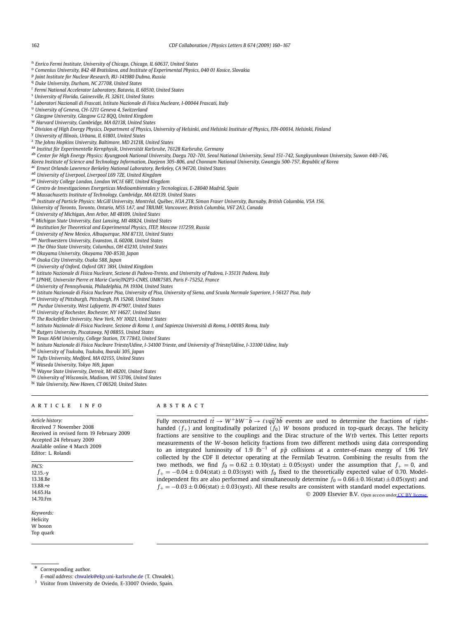<span id="page-4-0"></span><sup>n</sup> *Enrico Fermi Institute, University of Chicago, Chicago, IL 60637, United States*

- <sup>o</sup> *Comenius University, 842 48 Bratislava, and Institute of Experimental Physics, 040 01 Kosice, Slovakia*
- <sup>p</sup> *Joint Institute for Nuclear Research, RU-141980 Dubna, Russia*
- <sup>q</sup> *Duke University, Durham, NC 27708, United States*
- <sup>r</sup> *Fermi National Accelerator Laboratory, Batavia, IL 60510, United States*
- <sup>s</sup> *University of Florida, Gainesville, FL 32611, United States*
- <sup>t</sup> *Laboratori Nazionali di Frascati, Istituto Nazionale di Fisica Nucleare, I-00044 Frascati, Italy*
- <sup>u</sup> *University of Geneva, CH-1211 Geneva 4, Switzerland*
- <sup>v</sup> *Glasgow University, Glasgow G12 8QQ, United Kingdom*
- <sup>w</sup> *Harvard University, Cambridge, MA 02138, United States*
- <sup>x</sup> *Division of High Energy Physics, Department of Physics, University of Helsinki, and Helsinki Institute of Physics, FIN-00014, Helsinki, Finland*
- <sup>y</sup> *University of Illinois, Urbana, IL 61801, United States*
- <sup>z</sup> *The Johns Hopkins University, Baltimore, MD 21218, United States*
- aa *Institut für Experimentelle Kernphysik, Universität Karlsruhe, 76128 Karlsruhe, Germany*
- ab *Center for High Energy Physics: Kyungpook National University, Daegu 702-701, Seoul National University, Seoul 151-742, Sungkyunkwan University, Suwon 440-746,*
- *Korea Institute of Science and Technology Information, Daejeon 305-806, and Chonnam National University, Gwangju 500-757, Republic of Korea*
- ac *Ernest Orlando Lawrence Berkeley National Laboratory, Berkeley, CA 94720, United States*
- ad *University of Liverpool, Liverpool L69 7ZE, United Kingdom*
- ae *University College London, London WC1E 6BT, United Kingdom*
- af *Centro de Investigaciones Energeticas Medioambientales y Tecnologicas, E-28040 Madrid, Spain*
- ag *Massachusetts Institute of Technology, Cambridge, MA 02139, United States*
- ah *Institute of Particle Physics: McGill University, Montréal, Québec, H3A 2T8, Simon Fraser University, Burnaby, British Columbia, V5A 1S6,*
- *University of Toronto, Toronto, Ontario, M5S 1A7, and TRIUMF, Vancouver, British Columbia, V6T 2A3, Canada*
- ai *University of Michigan, Ann Arbor, MI 48109, United States*
- aj *Michigan State University, East Lansing, MI 48824, United States*
- ak *Institution for Theoretical and Experimental Physics, ITEP, Moscow 117259, Russia*
- al *University of New Mexico, Albuquerque, NM 87131, United States*
- am *Northwestern University, Evanston, IL 60208, United States*
- an *The Ohio State University, Columbus, OH 43210, United States*
- ao *Okayama University, Okayama 700-8530, Japan*
- ap *Osaka City University, Osaka 588, Japan*
- aq *University of Oxford, Oxford OX1 3RH, United Kingdom*
- ar *Istituto Nazionale di Fisica Nucleare, Sezione di Padova-Trento, and University of Padova, I-35131 Padova, Italy*
- as *LPNHE, Universite Pierre et Marie Curie/IN2P3-CNRS, UMR7585, Paris F-75252, France*
- at *University of Pennsylvania, Philadelphia, PA 19104, United States*
- au *Istituto Nazionale di Fisica Nucleare Pisa, University of Pisa, University of Siena, and Scuola Normale Superiore, I-56127 Pisa, Italy*
- av *University of Pittsburgh, Pittsburgh, PA 15260, United States*
- aw *Purdue University, West Lafayette, IN 47907, United States*
- ax *University of Rochester, Rochester, NY 14627, United States*
- ay *The Rockefeller University, New York, NY 10021, United States*
- az *Istituto Nazionale di Fisica Nucleare, Sezione di Roma 1, and Sapienza Università di Roma, I-00185 Roma, Italy*
- ba *Rutgers University, Piscataway, NJ 08855, United States*
- bb *Texas A&M University, College Station, TX 77843, United States*
- bc *Istituto Nazionale di Fisica Nucleare Trieste/Udine, I-34100 Trieste, and University of Trieste/Udine, I-33100 Udine, Italy*
- bd *University of Tsukuba, Tsukuba, Ibaraki 305, Japan*
- be *Tufts University, Medford, MA 02155, United States*
- bf *Waseda University, Tokyo 169, Japan*
- bg *Wayne State University, Detroit, MI 48201, United States*
- bh *University of Wisconsin, Madison, WI 53706, United States*
- bi *Yale University, New Haven, CT 06520, United States*

#### ARTICLE INFO ABSTRACT

*Article history:* Received 7 November 2008 Received in revised form 19 February 2009 Accepted 24 February 2009 Available online 4 March 2009 Editor: L. Rolandi

*PACS:* 12.15.-y 13.38.Be 13.88.+e 14.65.Ha 14.70.Fm

*Keywords:* Helicity W boson Top quark

Fully reconstructed  $t\bar{t} \to W^+bW^-\bar{b} \to \ell\nu q\bar{q}'b\bar{b}$  events are used to determine the fractions of righthanded  $(f_{+})$  and longitudinally polarized  $(f_{0})$  *W* bosons produced in top-quark decays. The helicity fractions are sensitive to the couplings and the Dirac structure of the *W tb* vertex. This Letter reports measurements of the *W* -boson helicity fractions from two different methods using data corresponding to an integrated luminosity of 1*.*9 fb−<sup>1</sup> of *pp*¯ collisions at a center-of-mass energy of 1.96 TeV collected by the CDF II detector operating at the Fermilab Tevatron. Combining the results from the two methods, we find  $f_0 = 0.62 \pm 0.10$ *(stat)*  $\pm 0.05$ *(syst)* under the assumption that  $f_+ = 0$ , and  $f_{+} = -0.04 \pm 0.04$ (stat)  $\pm 0.03$ (syst) with  $f_0$  fixed to the theoretically expected value of 0.70. Modelindependent fits are also performed and simultaneously determine  $f_0 = 0.66 \pm 0.16$ *(stat)* $\pm 0.05$ *(syst)* and *<sup>f</sup>*<sup>+</sup> = −0*.*<sup>03</sup> ± <sup>0</sup>*.*06*(*stat*)* ± <sup>0</sup>*.*03*(*syst*)*. All these results are consistent with standard model expectations. © 2009 Elsevier B.V. Open access unde[r CC BY license.](http://creativecommons.org/licenses/by/3.0/)

Corresponding author.

*E-mail address:* [chwalek@ekp.uni-karlsruhe.de](mailto:chwalek@ekp.uni-karlsruhe.de) (T. Chwalek).

<sup>&</sup>lt;sup>1</sup> Visitor from University de Oviedo, E-33007 Oviedo, Spain.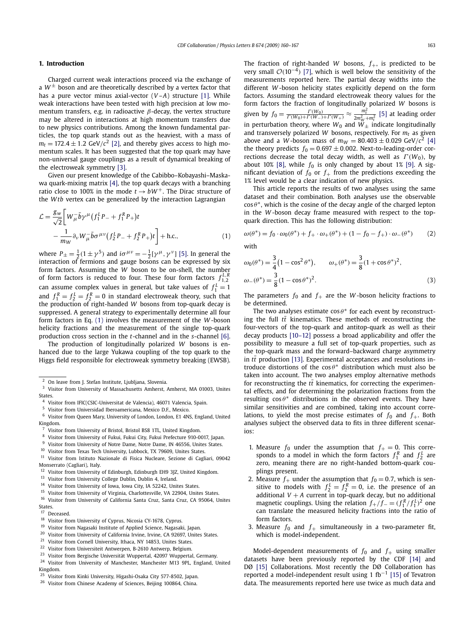#### <span id="page-5-0"></span>**1. Introduction**

Charged current weak interactions proceed via the exchange of a  $W^{\pm}$  boson and are theoretically described by a vertex factor that has a pure vector minus axial-vector (*V* –*A*) structure [\[1\].](#page-9-0) While weak interactions have been tested with high precision at low momentum transfers, e.g. in radioactive *β*-decay, the vertex structure may be altered in interactions at high momentum transfers due to new physics contributions. Among the known fundamental particles, the top quark stands out as the heaviest, with a mass of  $m_t = 172.4 \pm 1.2$  GeV/ $c^2$  [\[2\],](#page-9-0) and thereby gives access to high momentum scales. It has been suggested that the top quark may have non-universal gauge couplings as a result of dynamical breaking of the electroweak symmetry [\[3\].](#page-9-0)

Given our present knowledge of the Cabibbo–Kobayashi–Maskawa quark-mixing matrix [\[4\],](#page-9-0) the top quark decays with a branching ratio close to 100% in the mode  $t \rightarrow bW^+$ . The Dirac structure of the *W tb* vertex can be generalized by the interaction Lagrangian

$$
\mathcal{L} = \frac{g_w}{\sqrt{2}} \bigg[ W_{\mu}^{\top} \bar{b} \gamma^{\mu} (f_1^L P_{-} + f_1^R P_{+}) t - \frac{1}{m_W} \partial_{\nu} W_{\mu}^{\top} \bar{b} \sigma^{\mu \nu} (f_2^L P_{-} + f_2^R P_{+}) t \bigg] + \text{h.c.},
$$
 (1)

where  $P_{\pm} = \frac{1}{2} (1 \pm \gamma^5)$  and  $i \sigma^{\mu \nu} = -\frac{1}{2} [\gamma^\mu, \gamma^\nu]$  [\[5\].](#page-9-0) In general the interaction of fermions and gauge bosons can be expressed by six form factors. Assuming the *W* boson to be on-shell, the number of form factors is reduced to four. These four form factors  $f_{1,2}^{L,R}$ can assume complex values in general, but take values of  $f_1^L = 1$ and  $f_1^R = f_2^L = f_2^R = 0$  in standard electroweak theory, such that the production of right-handed *W* bosons from top-quark decay is suppressed. A general strategy to experimentally determine all four form factors in Eq. (1) involves the measurement of the *W* -boson helicity fractions and the measurement of the single top-quark production cross section in the *t*-channel and in the *s*-channel [\[6\].](#page-9-0)

The production of longitudinally polarized *W* bosons is enhanced due to the large Yukawa coupling of the top quark to the Higgs field responsible for electroweak symmetry breaking (EWSB).

- <sup>24</sup> Visitor from University of Manchester, Manchester M13 9PL, England, United Kingdom.
- <sup>25</sup> Visitor from Kinki University, Higashi-Osaka City 577-8502, Japan.

The fraction of right-handed *W* bosons,  $f_{+}$ , is predicted to be very small  $O(10^{-4})$  [\[7\],](#page-9-0) which is well below the sensitivity of the measurements reported here. The partial decay widths into the different *W* -boson helicity states explicitly depend on the form factors. Assuming the standard electroweak theory values for the form factors the fraction of longitudinally polarized *W* bosons is given by  $f_0 = \frac{\Gamma(W_0)}{\Gamma(W_0) + \Gamma(W_-) + \Gamma(W_+)} \approx \frac{m_t^2}{2m_W^2 + m_t^2}$  [\[5\]](#page-9-0) at leading order in perturbation theory, where  $W_0$  and  $\hat{W}_\pm$  indicate longitudinally and transversely polarized  $W$  bosons, respectively. For  $m_t$  as given above and a *W*-boson mass of  $m_W = 80.403 \pm 0.029$  GeV/ $c^2$  [\[4\]](#page-9-0) the theory predicts  $f_0 = 0.697 \pm 0.002$ . Next-to-leading-order corrections decrease the total decay width, as well as  $\Gamma(W_0)$ , by about 10% [\[8\],](#page-9-0) while  $f_0$  is only changed by about 1% [\[9\].](#page-9-0) A significant deviation of  $f_0$  or  $f_+$  from the predictions exceeding the 1% level would be a clear indication of new physics.

This article reports the results of two analyses using the same dataset and their combination. Both analyses use the observable  $\cos \theta^*$ , which is the cosine of the decay angle of the charged lepton in the *W* -boson decay frame measured with respect to the topquark direction. This has the following distribution:

$$
\omega(\theta^*) = f_0 \cdot \omega_0(\theta^*) + f_+ \cdot \omega_+(\theta^*) + (1 - f_0 - f_+) \cdot \omega_-(\theta^*)
$$
 (2)

with

$$
\omega_0(\theta^*) = \frac{3}{4} (1 - \cos^2 \theta^*), \qquad \omega_+(\theta^*) = \frac{3}{8} (1 + \cos \theta^*)^2,
$$
  

$$
\omega_-(\theta^*) = \frac{3}{8} (1 - \cos \theta^*)^2.
$$
 (3)

The parameters  $f_0$  and  $f_+$  are the *W*-boson helicity fractions to be determined.

The two analyses estimate  $\cos \theta^*$  for each event by reconstructing the full  $t\bar{t}$  kinematics. These methods of reconstructing the four-vectors of the top-quark and antitop-quark as well as their decay products [\[10–12\]](#page-9-0) possess a broad applicability and offer the possibility to measure a full set of top-quark properties, such as the top-quark mass and the forward–backward charge asymmetry in  $t\bar{t}$  production [\[13\].](#page-9-0) Experimental acceptances and resolutions introduce distortions of the cos θ\* distribution which must also be taken into account. The two analyses employ alternative methods for reconstructing the  $t\bar{t}$  kinematics, for correcting the experimental effects, and for determining the polarization fractions from the resulting  $\cos \theta^*$  distributions in the observed events. They have similar sensitivities and are combined, taking into account correlations, to yield the most precise estimates of  $f_0$  and  $f_+$ . Both analyses subject the observed data to fits in three different scenarios:

- 1. Measure  $f_0$  under the assumption that  $f_+ = 0$ . This corresponds to a model in which the form factors  $f_1^R$  and  $f_2^L$  are zero, meaning there are no right-handed bottom-quark couplings present.
- 2. Measure  $f_+$  under the assumption that  $f_0 = 0.7$ , which is sensitive to models with  $f_2^L = f_2^R = 0$ , i.e. the presence of an additional *V* + *A* current in top-quark decay, but no additional magnetic couplings. Using the relation  $f_{+}/f_{-} = (f_{1}^{R}/f_{1}^{L})^{2}$  one can translate the measured helicity fractions into the ratio of form factors.
- 3. Measure  $f_0$  and  $f_+$  simultaneously in a two-parameter fit, which is model-independent.

Model-dependent measurements of  $f_0$  and  $f_+$  using smaller datasets have been previously reported by the CDF [\[14\]](#page-9-0) and DØ [\[15\]](#page-9-0) Collaborations. Most recently the DØ Collaboration has reported a model-independent result using 1 fb−<sup>1</sup> [\[15\]](#page-9-0) of Tevatron data. The measurements reported here use twice as much data and

<sup>&</sup>lt;sup>2</sup> On leave from J. Stefan Institute, Ljubljana, Slovenia.<br><sup>3</sup> Vicitar from University of Massachusette, Ambaset.

<sup>3</sup> Visitor from University of Massachusetts Amherst, Amherst, MA 01003, Unites States.

<sup>4</sup> Visitor from IFIC(CSIC-Universitat de Valencia), 46071 Valencia, Spain.<br>5 Vicitor from Universidad Iberoamericana Mexico D.E. Mexico.

Visitor from Universidad Iberoamericana, Mexico D.F., Mexico.

<sup>6</sup> Visitor from Queen Mary, University of London, London, E1 4NS, England, United Kingdom.

<sup>&</sup>lt;sup>7</sup> Visitor from University of Bristol, Bristol BS8 1TL, United Kingdom.<br>8 Visitor from University of Fulmi, Fulmi City, Fulmi Prefecture 010.0

<sup>8</sup> Visitor from University of Fukui, Fukui City, Fukui Prefecture 910-0017, Japan.<br>9 Visitor from University of Notre Dame, Notre Dame, IN 46556 Unites States

 $9$  Visitor from University of Notre Dame, Notre Dame, IN 46556, Unites States.<br>10 Visitor from Trues Tash University, Jubbash, TV 70000, Unites States.

Visitor from Texas Tech University, Lubbock, TX 79609, Unites States.

<sup>11</sup> Visitor from Istituto Nazionale di Fisica Nucleare, Sezione di Cagliari, 09042 Monserrato (Cagliari), Italy.<br><sup>12</sup> Visitor from University.

<sup>&</sup>lt;sup>12</sup> Visitor from University of Edinburgh, Edinburgh EH9 3JZ, United Kingdom.<br><sup>13</sup> Visitor from University Colloge Dublin, Dublin A, Iraland.

<sup>&</sup>lt;sup>13</sup> Visitor from University College Dublin, Dublin 4, Ireland.<br><sup>14</sup> Visitor from University of Jowa Jowa City 14, 52242, Uni

<sup>&</sup>lt;sup>14</sup> Visitor from University of Iowa, Iowa City, IA 52242, Unites States.<br><sup>15</sup> Visitor from University of Vissinia, Charlottesrilla VA 22004, United

<sup>&</sup>lt;sup>15</sup> Visitor from University of Virginia, Charlottesville, VA 22904, Unites States.<br><sup>16</sup> Vicitor from University of California Santa Cruz, Santa Cruz, CA 05064, U Visitor from University of California Santa Cruz, Santa Cruz, CA 95064, Unites

States.

 $17$  Deceased.<br> $18$  Visitor from Visitor from University of Cyprus, Nicosia CY-1678, Cyprus.

<sup>&</sup>lt;sup>19</sup> Visitor from Nagasaki Institute of Applied Science, Nagasaki, Japan.<br><sup>20</sup> Visitor from University of California Insine, Julie CA 02607 United

<sup>&</sup>lt;sup>20</sup> Visitor from University of California Irvine, Irvine, CA 92697, Unites States.<br><sup>21</sup> Visitor from Carnell University Ithera, NV 14852, Unites States.

<sup>&</sup>lt;sup>21</sup> Visitor from Cornell University, Ithaca, NY 14853, Unites States.<br><sup>22</sup> Visitor from University Antwerper, B. 2010, Antwerp, Balgium.

<sup>&</sup>lt;sup>22</sup> Visitor from Universiteit Antwerpen, B-2610 Antwerp, Belgium.<br><sup>23</sup> Visitor from Bergische Universität Wunnertal 42007 Wunnertal

Visitor from Bergische Universität Wuppertal, 42097 Wuppertal, Germany.

<sup>&</sup>lt;sup>26</sup> Visitor from Chinese Academy of Sciences, Beijing 100864, China.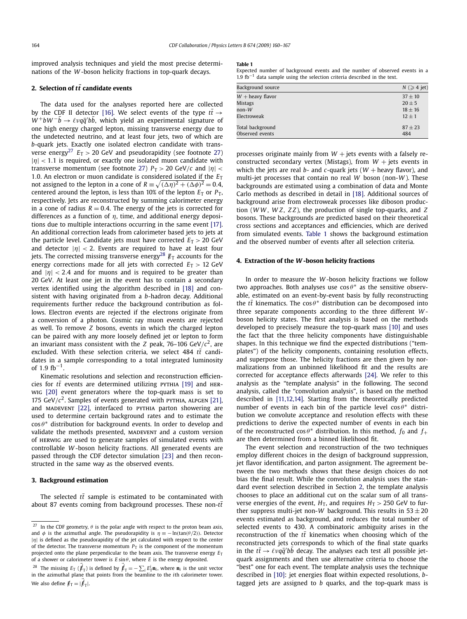<span id="page-6-0"></span>improved analysis techniques and yield the most precise determinations of the *W* -boson helicity fractions in top-quark decays.

#### **2. Selection of**  $t\bar{t}$  **candidate events**

The data used for the analyses reported here are collected by the CDF II detector [\[16\].](#page-9-0) We select events of the type  $t\bar{t} \rightarrow$ *W*<sup>+</sup>*bW*<sup>−</sup>*b* → *ℓvqq<sup>−</sup>/bb*, which yield an experimental signature of one high energy charged lepton, missing transverse energy due to the undetected neutrino, and at least four jets, two of which are *b*-quark jets. Exactly one isolated electron candidate with transverse energy<sup>27</sup>  $E_T > 20$  GeV and pseudorapidity (see footnote 27) |*η*| *<* <sup>1</sup>*.*1 is required, or exactly one isolated muon candidate with transverse momentum (see footnote 27)  $P_T > 20$  GeV/*c* and  $|\eta|$  < 1.0. An electron or muon candidate is considered isolated if the  $E<sub>T</sub>$ not assigned to the lepton in a cone of  $R = \sqrt{(\Delta \eta)^2 + (\Delta \phi)^2} = 0.4$ , centered around the lepton, is less than 10% of the lepton  $E_T$  or  $P_T$ , respectively. Jets are reconstructed by summing calorimeter energy in a cone of radius  $R = 0.4$ . The energy of the jets is corrected for differences as a function of *η*, time, and additional energy depositions due to multiple interactions occurring in the same event [\[17\].](#page-9-0) An additional correction leads from calorimeter based jets to jets at the particle level. Candidate jets must have corrected  $E_T > 20$  GeV and detector  $|\eta| < 2$ . Events are required to have at least four jets. The corrected missing transverse energy<sup>28</sup>  $\mathbf{E}_T$  accounts for the energy corrections made for all jets with corrected  $E_T > 12$  GeV and  $|\eta|$  < 2.4 and for muons and is required to be greater than 20 GeV. At least one jet in the event has to contain a secondary vertex identified using the algorithm described in [\[18\]](#page-9-0) and consistent with having originated from a *b*-hadron decay. Additional requirements further reduce the background contribution as follows. Electron events are rejected if the electrons originate from a conversion of a photon. Cosmic ray muon events are rejected as well. To remove *Z* bosons, events in which the charged lepton can be paired with any more loosely defined jet or lepton to form an invariant mass consistent with the *Z* peak, 76–106 GeV/ $c^2$ , are excluded. With these selection criteria, we select  $484$   $t\bar{t}$  candidates in a sample corresponding to a total integrated luminosity of  $1.9 \text{ fb}^{-1}$ .

Kinematic resolutions and selection and reconstruction efficiencies for  $t\bar{t}$  events are determined utilizing PYTHIA [\[19\]](#page-9-0) and HERwig [\[20\]](#page-9-0) event generators where the top-quark mass is set to 175 GeV/ $c^2$ . Samples of events generated with PYTHIA, ALPGEN [\[21\],](#page-9-0) and MADEVENT [\[22\],](#page-9-0) interfaced to PYTHIA parton showering are used to determine certain background rates and to estimate the cos θ<sup>\*</sup> distribution for background events. In order to develop and validate the methods presented, MADEVENT and a custom version of herwig are used to generate samples of simulated events with controllable *W* -boson helicity fractions. All generated events are passed through the CDF detector simulation [\[23\]](#page-9-0) and then reconstructed in the same way as the observed events.

#### **3. Background estimation**

The selected  $t\bar{t}$  sample is estimated to be contaminated with about 87 events coming from background processes. These non- $t\bar{t}$ 

#### **Table 1**

Expected number of background events and the number of observed events in a 1.9  $fb^{-1}$  data sample using the selection criteria described in the text.

| Background source  | $N \geqslant 4$ jet) |
|--------------------|----------------------|
| $W$ + heavy flavor | $37 \pm 10$          |
| <b>Mistags</b>     | $20 \pm 5$           |
| $non-W$            | $18 + 16$            |
| Electroweak        | $12 + 1$             |
| Total background   | $87 + 23$            |
| Observed events    | 484                  |

processes originate mainly from  $W$  + jets events with a falsely reconstructed secondary vertex (Mistags), from  $W +$  jets events in which the jets are real  $b$ - and  $c$ -quark jets ( $W$  + heavy flavor), and multi-jet processes that contain no real *W* boson (non-*W* ). These backgrounds are estimated using a combination of data and Monte Carlo methods as described in detail in [\[18\].](#page-9-0) Additional sources of background arise from electroweak processes like diboson production (*W W* , *W Z*, *Z Z*), the production of single top-quarks, and *Z* bosons. These backgrounds are predicted based on their theoretical cross sections and acceptances and efficiencies, which are derived from simulated events. Table 1 shows the background estimation and the observed number of events after all selection criteria.

#### **4. Extraction of the** *W* **-boson helicity fractions**

In order to measure the *W* -boson helicity fractions we follow two approaches. Both analyses use  $\cos \theta^*$  as the sensitive observable, estimated on an event-by-event basis by fully reconstructing the  $t\bar{t}$  kinematics. The cos  $\theta^*$  distribution can be decomposed into three separate components according to the three different *W* boson helicity states. The first analysis is based on the methods developed to precisely measure the top-quark mass [\[10\]](#page-9-0) and uses the fact that the three helicity components have distinguishable shapes. In this technique we find the expected distributions ("templates") of the helicity components, containing resolution effects, and superpose those. The helicity fractions are then given by normalizations from an unbinned likelihood fit and the results are corrected for acceptance effects afterwards [\[24\].](#page-9-0) We refer to this analysis as the "template analysis" in the following. The second analysis, called the "convolution analysis", is based on the method described in [\[11,12,14\].](#page-9-0) Starting from the theoretically predicted number of events in each bin of the particle level  $\cos \theta^*$  distribution we convolute acceptance and resolution effects with these predictions to derive the expected number of events in each bin of the reconstructed cos  $\theta^*$  distribution. In this method,  $f_0$  and  $f_+$ are then determined from a binned likelihood fit.

The event selection and reconstruction of the two techniques employ different choices in the design of background suppression, jet flavor identification, and parton assignment. The agreement between the two methods shows that these design choices do not bias the final result. While the convolution analysis uses the standard event selection described in Section 2, the template analysis chooses to place an additional cut on the scalar sum of all transverse energies of the event,  $H_T$ , and requires  $H_T > 250$  GeV to further suppress multi-jet non-*W* background. This results in  $53 \pm 20$ events estimated as background, and reduces the total number of selected events to 430. A combinatoric ambiguity arises in the reconstruction of the  $t\bar{t}$  kinematics when choosing which of the reconstructed jets corresponds to which of the final state quarks in the  $t\bar{t} \rightarrow \ell \nu q\bar{q}'$ *bb* decay. The analyses each test all possible jetquark assignments and then use alternative criteria to choose the "best" one for each event. The template analysis uses the technique described in [\[10\]:](#page-9-0) jet energies float within expected resolutions, *b*tagged jets are assigned to *b* quarks, and the top-quark mass is

<sup>&</sup>lt;sup>27</sup> In the CDF geometry,  $\theta$  is the polar angle with respect to the proton beam axis, and  $\phi$  is the azimuthal angle. The pseudorapidity is  $\eta \equiv -\ln(\tan(\theta/2))$ . Detector |*η*| is defined as the pseudorapidity of the jet calculated with respect to the center of the detector. The transverse momentum  $P<sub>T</sub>$  is the component of the momentum projected onto the plane perpendicular to the beam axis. The transverse energy  $E_T$ of a shower or calorimeter tower is  $E \sin \theta$ , where  $E$  is the energy deposited.

<sup>&</sup>lt;sup>28</sup> The missing  $E_T$  ( $\cancel{F}_T$ ) is defined by  $\cancel{F}_T = -\sum_i E_T^i \mathbf{n}_i$ , where  $\mathbf{n}_i$  is the unit vector in the azimuthal plane that points from the beamline to the *i*th calorimeter tower. We also define  $\not \! \! E_T = |\vec{\not \! \! \! E}_T|.$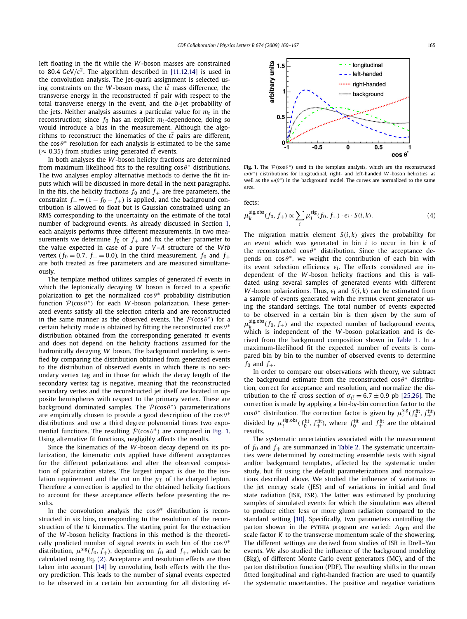left floating in the fit while the *W* -boson masses are constrained to 80.4 GeV/ $c^2$ . The algorithm described in [\[11,12,14\]](#page-9-0) is used in the convolution analysis. The jet-quark assignment is selected using constraints on the *W*-boson mass, the  $t\bar{t}$  mass difference, the transverse energy in the reconstructed  $t\bar{t}$  pair with respect to the total transverse energy in the event, and the *b*-jet probability of the jets. Neither analysis assumes a particular value for  $m_t$  in the reconstruction; since  $f_0$  has an explicit  $m_t$ -dependence, doing so would introduce a bias in the measurement. Although the algorithms to reconstruct the kinematics of the  $t\bar{t}$  pairs are different, the  $\cos \theta^*$  resolution for each analysis is estimated to be the same ( $\approx$  0.35) from studies using generated *tt* events.

In both analyses the *W* -boson helicity fractions are determined from maximum likelihood fits to the resulting  $\cos \theta^*$  distributions. The two analyses employ alternative methods to derive the fit inputs which will be discussed in more detail in the next paragraphs. In the fits, the helicity fractions  $f_0$  and  $f_+$  are free parameters, the constraint  $f_-(1 - f_0 - f_+)$  is applied, and the background contribution is allowed to float but is Gaussian constrained using an RMS corresponding to the uncertainty on the estimate of the total number of background events. As already discussed in Section [1,](#page-5-0) each analysis performs three different measurements. In two measurements we determine  $f_0$  or  $f_+$  and fix the other parameter to the value expected in case of a pure *V* –*A* structure of the *W tb* vertex ( $f_0 = 0.7$ ,  $f_+ = 0.0$ ). In the third measurement,  $f_0$  and  $f_+$ are both treated as free parameters and are measured simultaneously.

The template method utilizes samples of generated  $t\bar{t}$  events in which the leptonically decaying *W* boson is forced to a specific polarization to get the normalized  $\cos \theta^*$  probability distribution function  $P(\cos \theta^*)$  for each *W*-boson polarization. These generated events satisfy all the selection criteria and are reconstructed in the same manner as the observed events. The  $P(\cos \theta^*)$  for a certain helicity mode is obtained by fitting the reconstructed cos *θ*<sup>\*</sup> distribution obtained from the corresponding generated  $t\bar{t}$  events and does not depend on the helicity fractions assumed for the hadronically decaying *W* boson. The background modeling is verified by comparing the distribution obtained from generated events to the distribution of observed events in which there is no secondary vertex tag and in those for which the decay length of the secondary vertex tag is negative, meaning that the reconstructed secondary vertex and the reconstructed jet itself are located in opposite hemispheres with respect to the primary vertex. These are background dominated samples. The  $P(\cos \theta^*)$  parameterizations are empirically chosen to provide a good description of the cos  $θ^*$ distributions and use a third degree polynomial times two exponential functions. The resulting  $P(\cos \theta^*)$  are compared in Fig. 1. Using alternative fit functions, negligibly affects the results.

Since the kinematics of the *W* -boson decay depend on its polarization, the kinematic cuts applied have different acceptances for the different polarizations and alter the observed composition of polarization states. The largest impact is due to the isolation requirement and the cut on the  $p<sub>T</sub>$  of the charged lepton. Therefore a correction is applied to the obtained helicity fractions to account for these acceptance effects before presenting the results.

In the convolution analysis the  $\cos \theta^*$  distribution is reconstructed in six bins, corresponding to the resolution of the reconstruction of the  $t\bar{t}$  kinematics. The starting point for the extraction of the *W* -boson helicity fractions in this method is the theoretically predicted number of signal events in each bin of the  $\cos \theta^*$ distribution,  $\mu^{\text{sig}}(f_0, f_+)$ , depending on  $f_0$  and  $f_+$ , which can be calculated using Eq. [\(2\).](#page-5-0) Acceptance and resolution effects are then taken into account [\[14\]](#page-9-0) by convoluting both effects with the theory prediction. This leads to the number of signal events expected to be observed in a certain bin accounting for all distorting ef-



**Fig. 1.** The  $P(\cos \theta^*)$  used in the template analysis, which are the reconstructed *ω(θ*∗*)* distributions for longitudinal, right- and left-handed *W* -boson helicities, as well as the  $\omega(\theta^*)$  in the background model. The curves are normalized to the same area.

fects:

$$
\mu_k^{\text{sig,obs}}(f_0, f_+) \propto \sum_i \mu_i^{\text{sig}}(f_0, f_+) \cdot \epsilon_i \cdot S(i, k). \tag{4}
$$

The migration matrix element  $S(i, k)$  gives the probability for an event which was generated in bin *i* to occur in bin *k* of the reconstructed  $\cos \theta^*$  distribution. Since the acceptance depends on  $\cos \theta^*$ , we weight the contribution of each bin with its event selection efficiency  $\epsilon_i$ . The effects considered are independent of the *W* -boson helicity fractions and this is validated using several samples of generated events with different *W* -boson polarizations. Thus,  $\epsilon_i$  and  $S(i, k)$  can be estimated from a sample of events generated with the PYTHIA event generator using the standard settings. The total number of events expected to be observed in a certain bin is then given by the sum of  $\mu_k^{\text{sig,obs}}(f_0, f_+)$  and the expected number of background events, which is independent of the *W* -boson polarization and is derived from the background composition shown in [Table 1.](#page-6-0) In a maximum-likelihood fit the expected number of events is compared bin by bin to the number of observed events to determine  $f_0$  and  $f_+$ .

In order to compare our observations with theory, we subtract the background estimate from the reconstructed  $\cos \theta^*$  distribution, correct for acceptance and resolution, and normalize the distribution to the *tt*<sup> $\bar{t}$ </sup> cross section of  $\sigma_{t\bar{t}} = 6.7 \pm 0.9$  pb [\[25,26\].](#page-9-0) The correction is made by applying a bin-by-bin correction factor to the  $\cos \theta^*$  distribution. The correction factor is given by  $\mu_i^{\text{sig}}(f_0^{\text{fit}}, f_+^{\text{fit}})$ divided by  $\mu_i^{\text{sig,obs}}(f_0^{\text{fit}}, f_+^{\text{fit}})$ , where  $f_0^{\text{fit}}$  and  $f_+^{\text{fit}}$  are the obtained results.

The systematic uncertainties associated with the measurement of  $f_0$  and  $f_+$  are summarized in [Table 2.](#page-8-0) The systematic uncertainties were determined by constructing ensemble tests with signal and/or background templates, affected by the systematic under study, but fit using the default parameterizations and normalizations described above. We studied the influence of variations in the jet energy scale (JES) and of variations in initial and final state radiation (ISR, FSR). The latter was estimated by producing samples of simulated events for which the simulation was altered to produce either less or more gluon radiation compared to the standard setting [\[10\].](#page-9-0) Specifically, two parameters controlling the parton shower in the PYTHIA program are varied: *Λ*<sub>OCD</sub> and the scale factor *K* to the transverse momentum scale of the showering. The different settings are derived from studies of ISR in Drell–Yan events. We also studied the influence of the background modeling (Bkg), of different Monte Carlo event generators (MC), and of the parton distribution function (PDF). The resulting shifts in the mean fitted longitudinal and right-handed fraction are used to quantify the systematic uncertainties. The positive and negative variations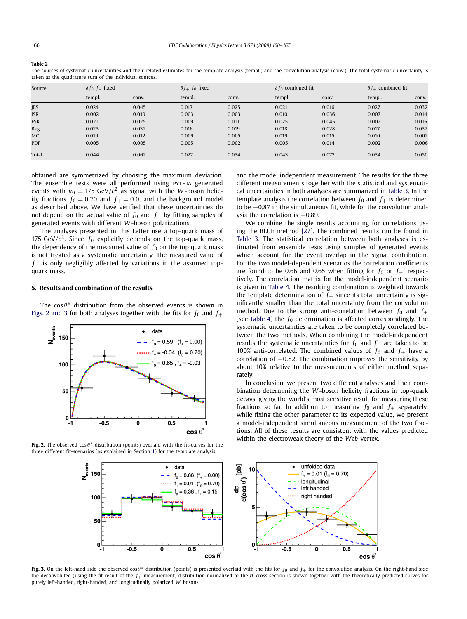<span id="page-8-0"></span>**Table 2**

The sources of systematic uncertainties and their related estimates for the template analysis (templ.) and the convolution analysis (conv.). The total systematic uncertainty is taken as the quadrature sum of the individual sources.

| Source     | $\delta f_0 f_+$ fixed |       |        | $\delta f_+ f_0$ fixed |        | $\delta f_0$ combined fit |        | $\delta f_+$ combined fit |  |
|------------|------------------------|-------|--------|------------------------|--------|---------------------------|--------|---------------------------|--|
|            | templ.                 | conv. | templ. | conv.                  | templ. | conv.                     | templ. | conv.                     |  |
| JES        | 0.024                  | 0.045 | 0.017  | 0.025                  | 0.021  | 0.016                     | 0.027  | 0.032                     |  |
| <b>ISR</b> | 0.002                  | 0.010 | 0.003  | 0.003                  | 0.010  | 0.036                     | 0.007  | 0.014                     |  |
| <b>FSR</b> | 0.021                  | 0.025 | 0.009  | 0.011                  | 0.025  | 0.045                     | 0.002  | 0.016                     |  |
| <b>Bkg</b> | 0.023                  | 0.032 | 0.016  | 0.019                  | 0.018  | 0.028                     | 0.017  | 0.032                     |  |
| MC         | 0.019                  | 0.012 | 0.009  | 0.005                  | 0.019  | 0.015                     | 0.010  | 0.002                     |  |
| <b>PDF</b> | 0.005                  | 0.005 | 0.005  | 0.002                  | 0.005  | 0.014                     | 0.002  | 0.006                     |  |
| Total      | 0.044                  | 0.062 | 0.027  | 0.034                  | 0.043  | 0.072                     | 0.034  | 0.050                     |  |

obtained are symmetrized by choosing the maximum deviation. The ensemble tests were all performed using PYTHIA generated events with  $m_t = 175 \text{ GeV}/c^2$  as signal with the *W*-boson helicity fractions  $f_0 = 0.70$  and  $f_+ = 0.0$ , and the background model as described above. We have verified that these uncertainties do not depend on the actual value of  $f_0$  and  $f_+$  by fitting samples of generated events with different *W* -boson polarizations.

The analyses presented in this Letter use a top-quark mass of 175 GeV/ $c^2$ . Since  $f_0$  explicitly depends on the top-quark mass, the dependency of the measured value of  $f_0$  on the top quark mass is not treated as a systematic uncertainty. The measured value of  $f_{+}$  is only negligibly affected by variations in the assumed topquark mass.

#### **5. Results and combination of the results**

The  $\cos \theta^*$  distribution from the observed events is shown in Figs. 2 and 3 for both analyses together with the fits for  $f_0$  and  $f_+$ 



**Fig. 2.** The observed cos *θ*∗ distribution (points) overlaid with the fit-curves for the three different fit-scenarios (as explained in Section [1\)](#page-5-0) for the template analysis.

and the model independent measurement. The results for the three different measurements together with the statistical and systematical uncertainties in both analyses are summarized in [Table 3.](#page-9-0) In the template analysis the correlation between  $f_0$  and  $f_+$  is determined to be −0.87 in the simultaneous fit, while for the convolution analysis the correlation is  $-0.89$ .

We combine the single results accounting for correlations using the BLUE method [\[27\].](#page-9-0) The combined results can be found in [Table 3.](#page-9-0) The statistical correlation between both analyses is estimated from ensemble tests using samples of generated events which account for the event overlap in the signal contribution. For the two model-dependent scenarios the correlation coefficients are found to be 0.66 and 0.65 when fitting for  $f_0$  or  $f_+$ , respectively. The correlation matrix for the model-independent scenario is given in [Table 4.](#page-9-0) The resulting combination is weighted towards the template determination of  $f_+$  since its total uncertainty is significantly smaller than the total uncertainty from the convolution method. Due to the strong anti-correlation between  $f_0$  and  $f_+$ (see [Table 4\)](#page-9-0) the  $f_0$  determination is affected correspondingly. The systematic uncertainties are taken to be completely correlated between the two methods. When combining the model-independent results the systematic uncertainties for  $f_0$  and  $f_+$  are taken to be 100% anti-correlated. The combined values of  $f_0$  and  $f_+$  have a correlation of −0*.*82. The combination improves the sensitivity by about 10% relative to the measurements of either method separately.

In conclusion, we present two different analyses and their combination determining the *W* -boson helicity fractions in top-quark decays, giving the world's most sensitive result for measuring these fractions so far. In addition to measuring  $f_0$  and  $f_+$  separately, while fixing the other parameter to its expected value, we present a model-independent simultaneous measurement of the two fractions. All of these results are consistent with the values predicted within the electroweak theory of the *W tb* vertex.



**Fig. 3.** On the left-hand side the observed cos *θ*<sup>∗</sup> distribution (points) is presented overlaid with the fits for *<sup>f</sup>*<sup>0</sup> and *<sup>f</sup>*<sup>+</sup> for the convolution analysis. On the right-hand side the deconvoluted (using the fit result of the  $f_+$  measurement) distribution normalized to the  $t\bar{t}$  cross section is shown together with the theoretically predicted curves for purely left-handed, right-handed, and longitudinally polarized *W* bosons.